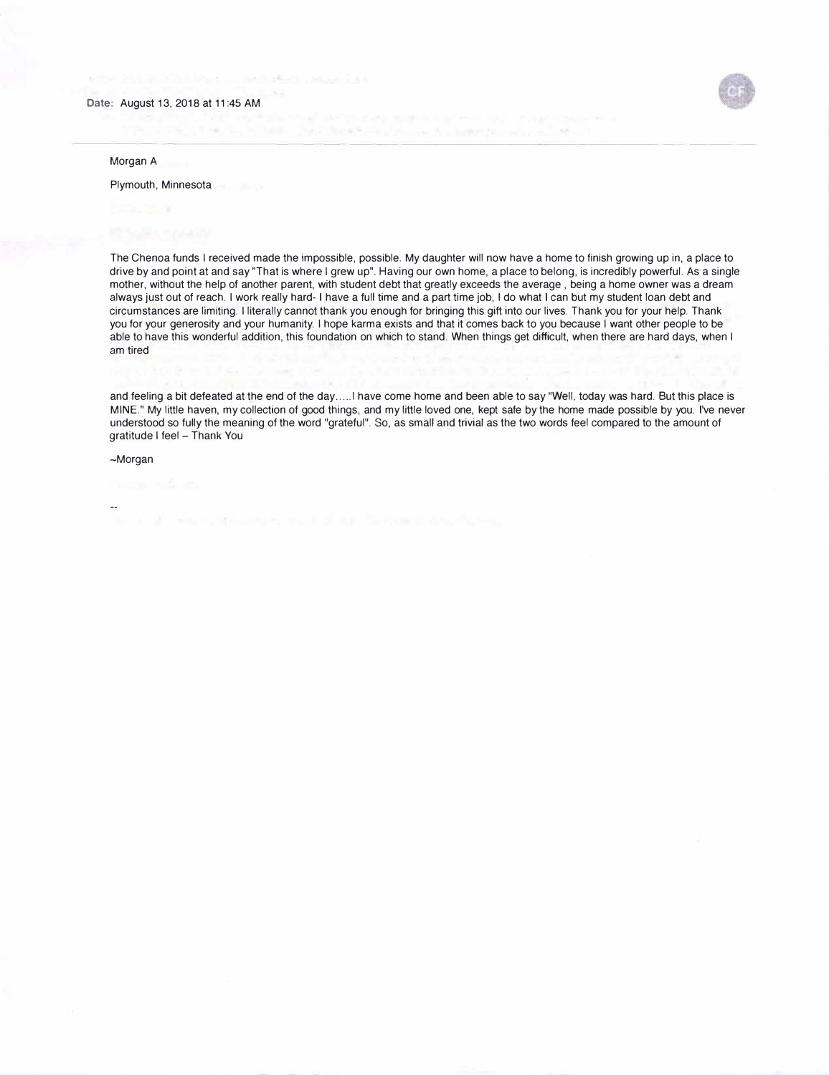

Morgan A

## Plymouth, Minnesota

The Chenoa funds I received made the impossible, possible. My daughter will now have a home to finish growing up in, a place to drive by and point at and say "That is where I grew up". Having our own home, a place to belong, is incredibly powerful. As a single mother, without the help of another parent, with student debt that greatly exceeds the average , being a home owner was a dream always just out of reach. I work really hard- I have a full time and a part time job, I do what I can but my student loan debt and circumstances are limiting. I literally cannot thank you enough for bringing this gift into our lives. Thank you for your help. Thank you for your generosity and your humanity. I hope karma exists and that it comes back to you because I want other people to be able to have this wonderful addition, this foundation on which to stand. When things get difficult, when there are hard days, when I am tired

and feeling a bit defeated at the end of the day ..... l have come home and been able to say "Well, today was hard. But this place is MINE." My little haven, my collection of good things, and my little loved one, kept safe by the home made possible by you. I've never understood so fully the meaning of the word "grateful". So, as small and trivial as the two words feel compared to the amount of gratitude I feel - Thank You

~Morgan